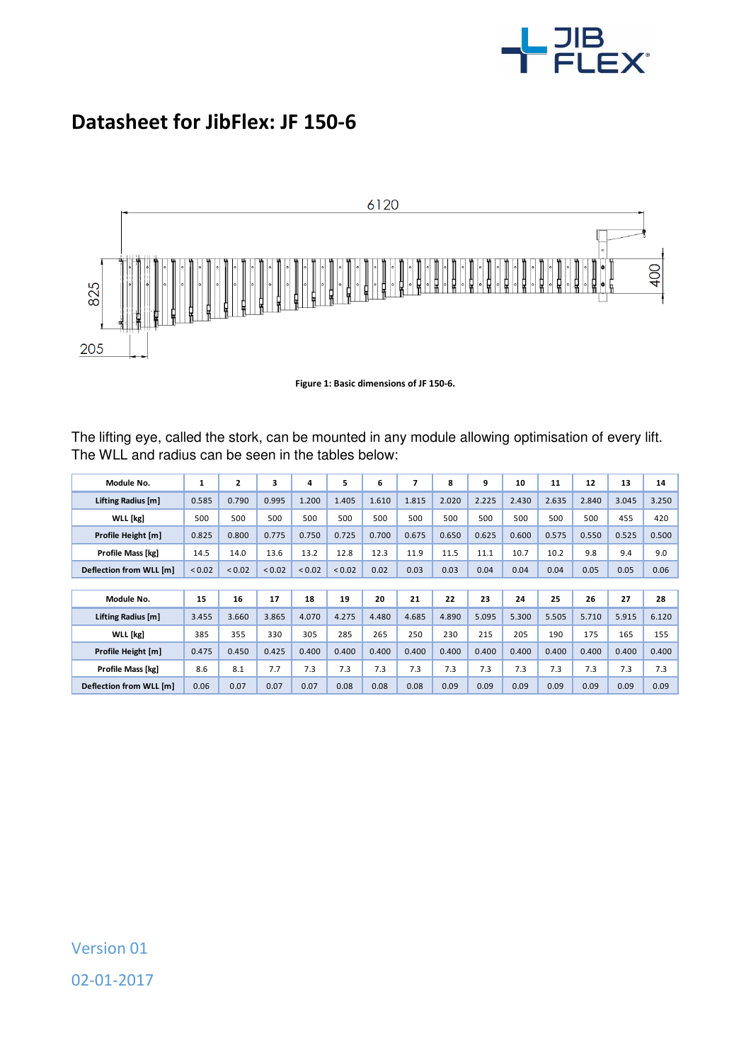

## **Datasheet for JibFlex: JF 150-6**



**Figure 1: Basic dimensions of JF 150-6.** 

The lifting eye, called the stork, can be mounted in any module allowing optimisation of every lift. The WLL and radius can be seen in the tables below:

| Module No.              | 1      | $\mathbf{z}$ | 3      | 4           | 5           | 6     | 7     | 8     | 9     | 10    | 11    | 12    | 13    | 14    |
|-------------------------|--------|--------------|--------|-------------|-------------|-------|-------|-------|-------|-------|-------|-------|-------|-------|
| Lifting Radius [m]      | 0.585  | 0.790        | 0.995  | 1.200       | 1.405       | 1.610 | 1.815 | 2.020 | 2.225 | 2.430 | 2.635 | 2.840 | 3.045 | 3.250 |
| WLL [kg]                | 500    | 500          | 500    | 500         | 500         | 500   | 500   | 500   | 500   | 500   | 500   | 500   | 455   | 420   |
| Profile Height [m]      | 0.825  | 0.800        | 0.775  | 0.750       | 0.725       | 0.700 | 0.675 | 0.650 | 0.625 | 0.600 | 0.575 | 0.550 | 0.525 | 0.500 |
| Profile Mass [kg]       | 14.5   | 14.0         | 13.6   | 13.2        | 12.8        | 12.3  | 11.9  | 11.5  | 11.1  | 10.7  | 10.2  | 9.8   | 9.4   | 9.0   |
| Deflection from WLL [m] | < 0.02 | < 0.02       | < 0.02 | ${}_{0.02}$ | ${}_{0.02}$ | 0.02  | 0.03  | 0.03  | 0.04  | 0.04  | 0.04  | 0.05  | 0.05  | 0.06  |
|                         |        |              |        |             |             |       |       |       |       |       |       |       |       |       |
| Module No.              | 15     | 16           | 17     | 18          | 19          | 20    | 21    | 22    | 23    | 24    | 25    | 26    | 27    | 28    |
| Lifting Radius [m]      | 3.455  | 3.660        | 3.865  | 4.070       | 4.275       | 4.480 | 4.685 | 4.890 | 5.095 | 5.300 | 5.505 | 5.710 | 5.915 | 6.120 |
| WLL [kg]                | 385    | 355          | 330    | 305         | 285         | 265   | 250   | 230   | 215   | 205   | 190   | 175   | 165   | 155   |
| Profile Height [m]      | 0.475  | 0.450        | 0.425  | 0.400       | 0.400       | 0.400 | 0.400 | 0.400 | 0.400 | 0.400 | 0.400 | 0.400 | 0.400 | 0.400 |
| Profile Mass [kg]       | 8.6    | 8.1          | 7.7    | 7.3         | 7.3         | 7.3   | 7.3   | 7.3   | 7.3   | 7.3   | 7.3   | 7.3   | 7.3   | 7.3   |
| Deflection from WLL [m] | 0.06   | 0.07         | 0.07   | 0.07        | 0.08        | 0.08  | 0.08  | 0.09  | 0.09  | 0.09  | 0.09  | 0.09  | 0.09  | 0.09  |

Version 01 02-01-2017